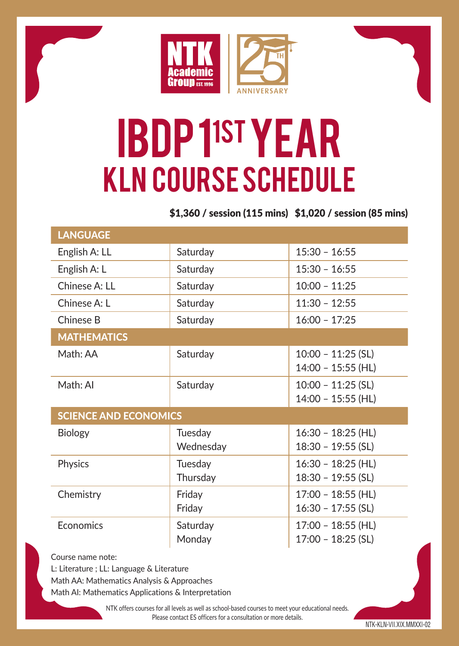

## IBDP 11ST YEAR KLN Course Schedule

\$1,360 / session (115 mins) \$1,020 / session (85 mins)

| <b>LANGUAGE</b>              |           |                      |
|------------------------------|-----------|----------------------|
| English A: LL                | Saturday  | $15:30 - 16:55$      |
| English A: L                 | Saturday  | $15:30 - 16:55$      |
| Chinese A: I I               | Saturday  | $10:00 - 11:25$      |
| Chinese A: I                 | Saturday  | $11:30 - 12:55$      |
| Chinese B                    | Saturday  | $16:00 - 17:25$      |
| <b>MATHEMATICS</b>           |           |                      |
| Math: AA                     | Saturday  | $10:00 - 11:25$ (SL) |
|                              |           | $14:00 - 15:55$ (HL) |
| Math: Al                     | Saturday  | $10:00 - 11:25$ (SL) |
|                              |           | 14:00 - 15:55 (HL)   |
| <b>SCIENCE AND ECONOMICS</b> |           |                      |
| <b>Biology</b>               | Tuesday   | $16:30 - 18:25$ (HL) |
|                              | Wednesday | $18:30 - 19:55$ (SL) |
| Physics                      | Tuesday   | $16:30 - 18:25$ (HL) |
|                              | Thursday  | $18:30 - 19:55$ (SL) |
| Chemistry                    | Friday    | 17:00 - 18:55 (HL)   |
|                              | Friday    | $16:30 - 17:55$ (SL) |
| <b>F</b> conomics            | Saturday  | $17:00 - 18:55$ (HL) |
|                              | Monday    | $17:00 - 18:25$ (SL) |
|                              |           |                      |

Course name note:

L: Literature ; LL: Language & Literature

Math AA: Mathematics Analysis & Approaches

Math AI: Mathematics Applications & Interpretation

NTK offers courses for all levels as well as school-based courses to meet your educational needs. Please contact ES officers for a consultation or more details.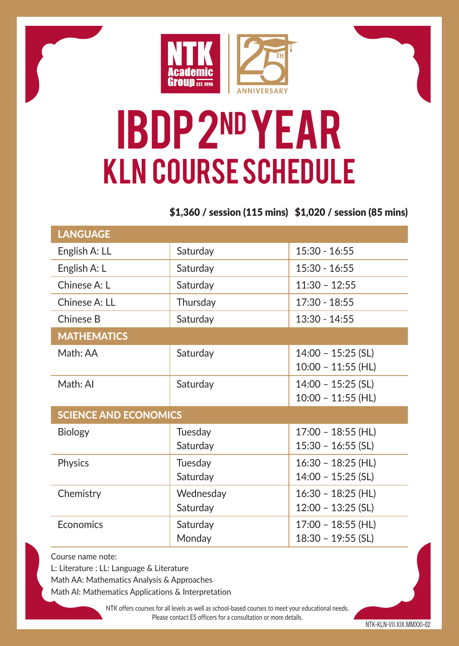

## IBDP 2nd YEAR KLN Course Schedule

\$1,360 / session (115 mins) \$1,020 / session (85 mins)

| <b>LANGUAGE</b>              |                       |                                              |
|------------------------------|-----------------------|----------------------------------------------|
| English A: LL                | Saturday              | 15:30 - 16:55                                |
| English A: L                 | Saturday              | 15:30 - 16:55                                |
| Chinese A: L                 | Saturday              | $11:30 - 12:55$                              |
| Chinese A: LL                | Thursday              | 17:30 - 18:55                                |
| Chinese B                    | Saturday              | 13:30 - 14:55                                |
| <b>MATHEMATICS</b>           |                       |                                              |
| Math: AA                     | Saturday              | $14:00 - 15:25$ (SL)<br>$10:00 - 11:55$ (HL) |
| Math: Al                     | Saturday              | $14:00 - 15:25$ (SL)<br>$10:00 - 11:55$ (HL) |
| <b>SCIENCE AND ECONOMICS</b> |                       |                                              |
| Biology                      | Tuesday<br>Saturday   | $17:00 - 18:55$ (HL)<br>$15:30 - 16:55$ (SL) |
| Physics                      | Tuesday<br>Saturday   | $16:30 - 18:25$ (HL)<br>$14:00 - 15:25$ (SL) |
| Chemistry                    | Wednesday<br>Saturday | $16:30 - 18:25$ (HL)<br>$12:00 - 13:25$ (SL) |
| <b>F</b> conomics            | Saturday<br>Monday    | $17:00 - 18:55$ (HL)<br>$18:30 - 19:55$ (SL) |

Course name note:

L: Literature ; LL: Language & Literature

Math AA: Mathematics Analysis & Approaches

Math AI: Mathematics Applications & Interpretation

NTK offers courses for all levels as well as school-based courses to meet your educational needs. Please contact ES officers for a consultation or more details.

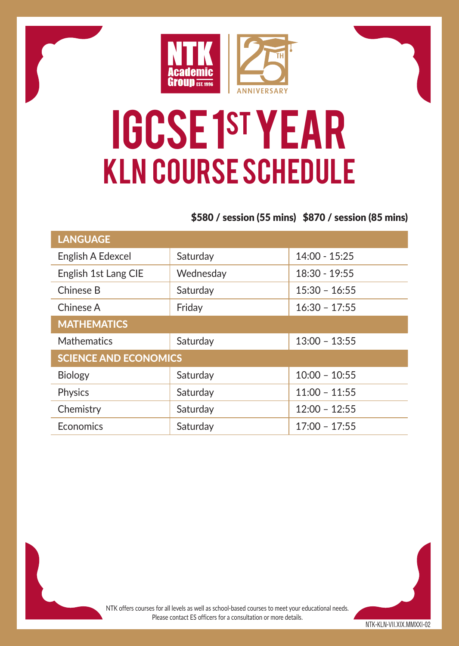

## IGCSE 1st YEAR KLN Course Schedule

### \$580 / session (55 mins) \$870 / session (85 mins)

| <b>LANGUAGE</b>              |           |                 |  |
|------------------------------|-----------|-----------------|--|
| English A Edexcel            | Saturday  | $14:00 - 15:25$ |  |
| English 1st Lang CIE         | Wednesday | $18:30 - 19:55$ |  |
| Chinese B                    | Saturday  | $15:30 - 16:55$ |  |
| Chinese A                    | Friday    | $16:30 - 17:55$ |  |
| <b>MATHEMATICS</b>           |           |                 |  |
| <b>Mathematics</b>           | Saturday  | $13:00 - 13:55$ |  |
| <b>SCIENCE AND ECONOMICS</b> |           |                 |  |
| <b>Biology</b>               | Saturday  | $10:00 - 10:55$ |  |
| Physics                      | Saturday  | $11:00 - 11:55$ |  |
| Chemistry                    | Saturday  | $12:00 - 12:55$ |  |
| Economics                    | Saturday  | $17:00 - 17:55$ |  |

NTK offers courses for all levels as well as school-based courses to meet your educational needs. Please contact ES officers for a consultation or more details.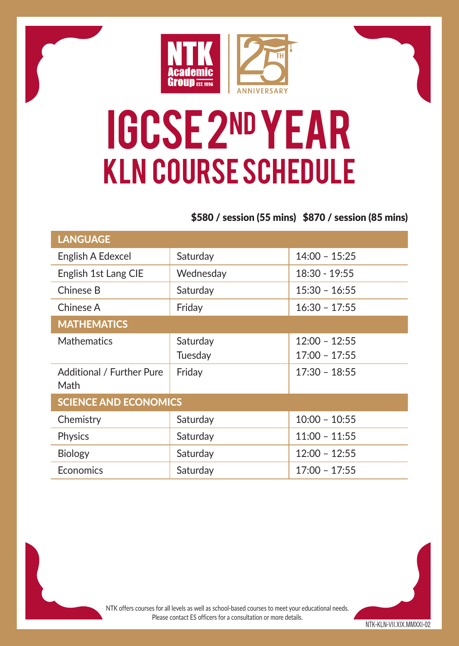

## IGCSE 2nd YEAR KLN Course Schedule

### \$580 / session (55 mins) \$870 / session (85 mins)

| <b>LANGUAGE</b>                   |           |                 |  |
|-----------------------------------|-----------|-----------------|--|
| English A Edexcel                 | Saturday  | $14:00 - 15:25$ |  |
| English 1st Lang CIE              | Wednesday | $18:30 - 19:55$ |  |
| Chinese B                         | Saturday  | $15:30 - 16:55$ |  |
| Chinese A                         | Friday    | $16:30 - 17:55$ |  |
| <b>MATHEMATICS</b>                |           |                 |  |
| <b>Mathematics</b>                | Saturday  | $12:00 - 12:55$ |  |
|                                   | Tuesday   | $17:00 - 17:55$ |  |
| Additional / Further Pure<br>Math | Friday    | $17:30 - 18:55$ |  |
| <b>SCIENCE AND ECONOMICS</b>      |           |                 |  |
| Chemistry                         | Saturday  | $10:00 - 10:55$ |  |
| <b>Physics</b>                    | Saturday  | $11:00 - 11:55$ |  |
| <b>Biology</b>                    | Saturday  | $12:00 - 12:55$ |  |
| Economics                         | Saturday  | $17:00 - 17:55$ |  |

NTK offers courses for all levels as well as school-based courses to meet your educational needs. Please contact ES officers for a consultation or more details.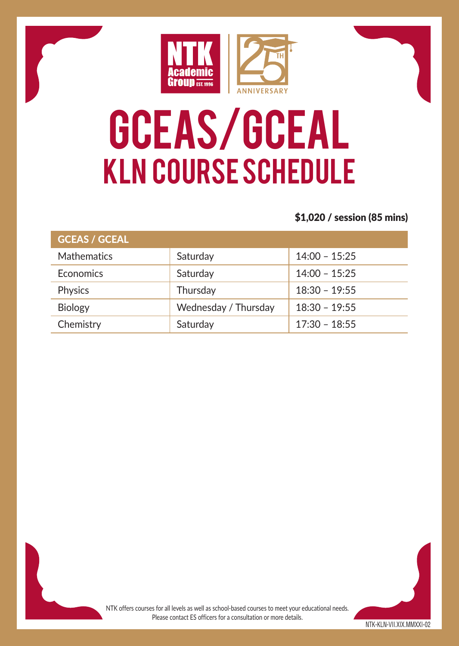

# GCEAS/GCEAL KLN Course Schedule

### \$1,020 / session (85 mins)

| <b>GCEAS / GCEAL</b> |                      |                 |
|----------------------|----------------------|-----------------|
| <b>Mathematics</b>   | Saturday             | $14:00 - 15:25$ |
| Economics            | Saturday             | $14:00 - 15:25$ |
| Physics              | Thursday             | $18:30 - 19:55$ |
| <b>Biology</b>       | Wednesday / Thursday | $18:30 - 19:55$ |
| Chemistry            | Saturday             | $17:30 - 18:55$ |

NTK offers courses for all levels as well as school-based courses to meet your educational needs. Please contact ES officers for a consultation or more details.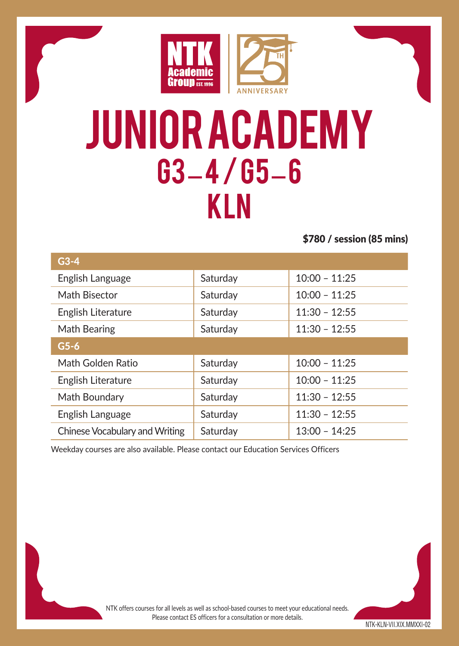

### Junior academy G3 – 4 / G5 – 6 KLN

\$780 / session (85 mins)

| $G3-4$                         |          |                 |
|--------------------------------|----------|-----------------|
| English Language               | Saturday | $10:00 - 11:25$ |
| Math Bisector                  | Saturday | $10:00 - 11:25$ |
| English Literature             | Saturday | $11:30 - 12:55$ |
| Math Bearing                   | Saturday | $11:30 - 12:55$ |
| $G5-6$                         |          |                 |
| Math Golden Ratio              | Saturday | $10:00 - 11:25$ |
| English Literature             | Saturday | $10:00 - 11:25$ |
| Math Boundary                  | Saturday | $11:30 - 12:55$ |
| English Language               | Saturday | $11:30 - 12:55$ |
| Chinese Vocabulary and Writing | Saturdav | $13:00 - 14:25$ |

Weekday courses are also available. Please contact our Education Services Officers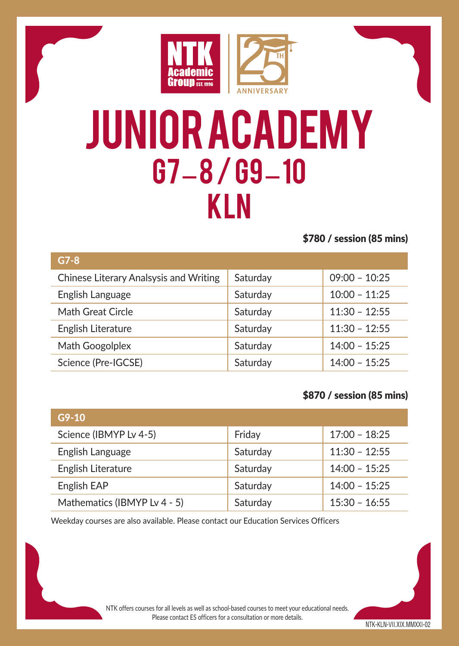

### Junior academy G7 – 8 / G9 – 10 KLN

\$780 / session (85 mins)

| $G7-8$                                 |          |                 |
|----------------------------------------|----------|-----------------|
| Chinese Literary Analsysis and Writing | Saturday | $09:00 - 10:25$ |
| English Language                       | Saturday | $10:00 - 11:25$ |
| Math Great Circle                      | Saturday | $11:30 - 12:55$ |
| English Literature                     | Saturday | $11:30 - 12:55$ |
| Math Googolplex                        | Saturday | $14:00 - 15:25$ |
| Science (Pre-IGCSE)                    | Saturday | $14:00 - 15:25$ |
|                                        |          |                 |

### \$870 / session (85 mins)

| $G9-10$                      |          |                 |
|------------------------------|----------|-----------------|
| Science (IBMYP Lv 4-5)       | Friday   | $17:00 - 18:25$ |
| English Language             | Saturday | $11:30 - 12:55$ |
| English Literature           | Saturday | $14:00 - 15:25$ |
| English EAP                  | Saturday | $14:00 - 15:25$ |
| Mathematics (IBMYP Lv 4 - 5) | Saturday | $15:30 - 16:55$ |

Weekday courses are also available. Please contact our Education Services Officers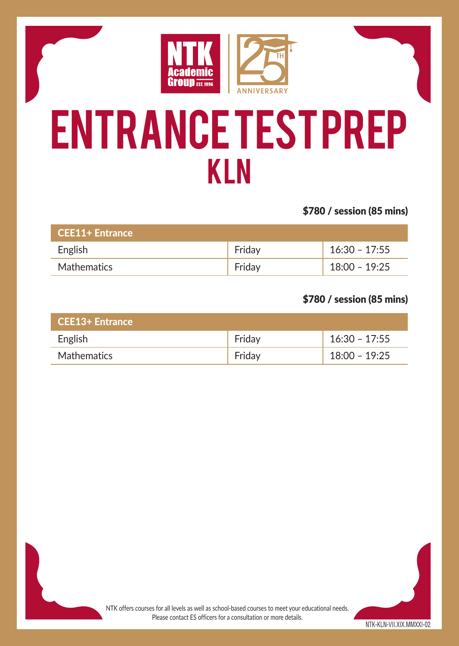

## Entrance Test Prep KLN

\$780 / session (85 mins)

| <b>CEE11+ Entrance</b> |        |                 |
|------------------------|--------|-----------------|
| English                | Fridav | $16:30 - 17:55$ |
| <b>Mathematics</b>     | Fridav | 18:00 - 19:25   |

### \$780 / session (85 mins)

| <b>CEE13+ Entrance</b> |        |                 |
|------------------------|--------|-----------------|
| English                | Fridav | $16:30 - 17:55$ |
| Mathematics            | Fridav | $18:00 - 19:25$ |